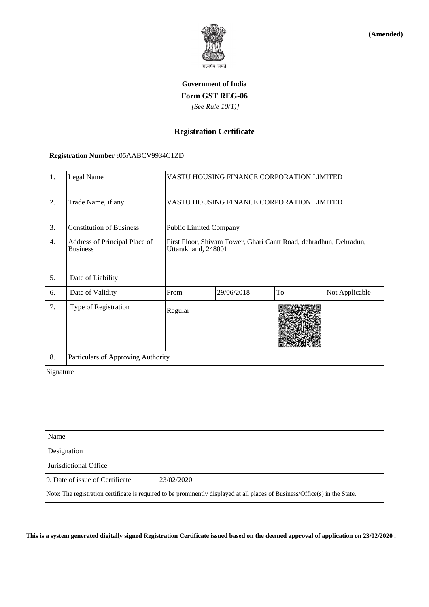

**(Amended)**

# **Government of India Form GST REG-06**  *[See Rule 10(1)]*

## **Registration Certificate**

#### **Registration Number :**05AABCV9934C1ZD

| 1.                                                                                                                           | Legal Name                                       | VASTU HOUSING FINANCE CORPORATION LIMITED                                                |  |            |    |                |
|------------------------------------------------------------------------------------------------------------------------------|--------------------------------------------------|------------------------------------------------------------------------------------------|--|------------|----|----------------|
| 2.                                                                                                                           | Trade Name, if any                               | VASTU HOUSING FINANCE CORPORATION LIMITED                                                |  |            |    |                |
| 3.                                                                                                                           | <b>Constitution of Business</b>                  | <b>Public Limited Company</b>                                                            |  |            |    |                |
| 4.                                                                                                                           | Address of Principal Place of<br><b>Business</b> | First Floor, Shivam Tower, Ghari Cantt Road, dehradhun, Dehradun,<br>Uttarakhand, 248001 |  |            |    |                |
| 5.                                                                                                                           | Date of Liability                                |                                                                                          |  |            |    |                |
| 6.                                                                                                                           | Date of Validity                                 | From                                                                                     |  | 29/06/2018 | To | Not Applicable |
| 7.                                                                                                                           | Type of Registration                             | Regular                                                                                  |  |            |    |                |
| 8.                                                                                                                           | Particulars of Approving Authority               |                                                                                          |  |            |    |                |
| Signature                                                                                                                    |                                                  |                                                                                          |  |            |    |                |
| Name                                                                                                                         |                                                  |                                                                                          |  |            |    |                |
| Designation                                                                                                                  |                                                  |                                                                                          |  |            |    |                |
| Jurisdictional Office                                                                                                        |                                                  |                                                                                          |  |            |    |                |
| 9. Date of issue of Certificate                                                                                              |                                                  | 23/02/2020                                                                               |  |            |    |                |
| Note: The registration certificate is required to be prominently displayed at all places of Business/Office(s) in the State. |                                                  |                                                                                          |  |            |    |                |

**This is a system generated digitally signed Registration Certificate issued based on the deemed approval of application on 23/02/2020 .**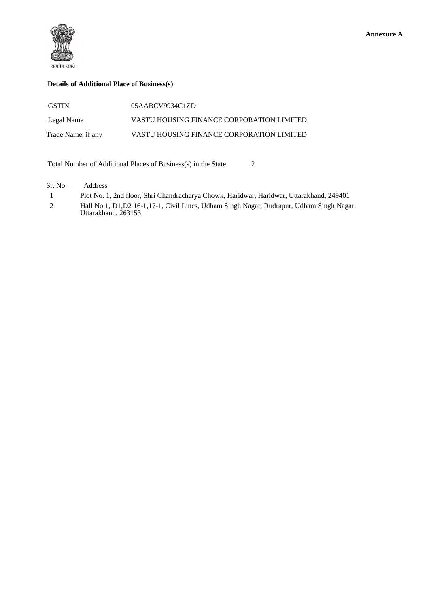

## **Details of Additional Place of Business(s)**

| <b>GSTIN</b>       | 05AABCV9934C1ZD                           |
|--------------------|-------------------------------------------|
| Legal Name         | VASTU HOUSING FINANCE CORPORATION LIMITED |
| Trade Name, if any | VASTU HOUSING FINANCE CORPORATION LIMITED |

Total Number of Additional Places of Business(s) in the State 2

Sr. No. Address

|   | Plot No. 1, 2nd floor, Shri Chandracharya Chowk, Haridwar, Haridwar, Uttarakhand, 249401                          |
|---|-------------------------------------------------------------------------------------------------------------------|
| 2 | Hall No 1, D1, D2 16-1, 17-1, Civil Lines, Udham Singh Nagar, Rudrapur, Udham Singh Nagar,<br>Uttarakhand, 263153 |